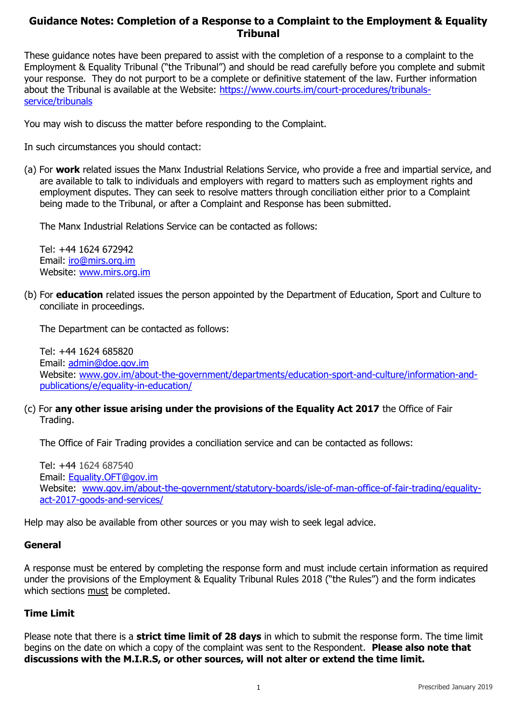## **Guidance Notes: Completion of a Response to a Complaint to the Employment & Equality Tribunal**

These guidance notes have been prepared to assist with the completion of a response to a complaint to the Employment & Equality Tribunal ("the Tribunal") and should be read carefully before you complete and submit your response. They do not purport to be a complete or definitive statement of the law. Further information about the Tribunal is available at the Website: [https://www.courts.im/court-procedures/tribunals](https://www.courts.im/court-procedures/tribunals-service/tribunals)[service/tribunals](https://www.courts.im/court-procedures/tribunals-service/tribunals) 

You may wish to discuss the matter before responding to the Complaint.

In such circumstances you should contact:

(a) For **work** related issues the Manx Industrial Relations Service, who provide a free and impartial service, and are available to talk to individuals and employers with regard to matters such as employment rights and employment disputes. They can seek to resolve matters through conciliation either prior to a Complaint being made to the Tribunal, or after a Complaint and Response has been submitted.

The Manx Industrial Relations Service can be contacted as follows:

Tel: +44 1624 672942 Email: [iro@mirs.org.im](mailto:iro@mirs.org.im)  Website: [www.mirs.org.im](http://www.mirs.org.im/) 

(b) For **education** related issues the person appointed by the Department of Education, Sport and Culture to conciliate in proceedings.

The Department can be contacted as follows:

Tel: +44 1624 685820 Email: [admin@doe.gov.im](mailto:admin@doe.gov.im) Website: [www.gov.im/about-the-government/departments/education-sport-and-culture/information-and](http://www.gov.im/about-the-government/departments/education-sport-and-culture/information-and-publications/e/equality-in-education/)[publications/e/equality-in-education/](http://www.gov.im/about-the-government/departments/education-sport-and-culture/information-and-publications/e/equality-in-education/)

(c) For **any other issue arising under the provisions of the Equality Act 2017** the Office of Fair Trading.

The Office of Fair Trading provides a conciliation service and can be contacted as follows:

Tel: +44 1624 687540 Email: [Equality.OFT@gov.im](mailto:Equality.OFT@gov.im) Website: [www.gov.im/about-the-government/statutory-boards/isle-of-man-office-of-fair-trading/equality](http://www.gov.im/about-the-government/statutory-boards/isle-of-man-office-of-fair-trading/equality-act-2017-goods-and-services/)[act-2017-goods-and-services/](http://www.gov.im/about-the-government/statutory-boards/isle-of-man-office-of-fair-trading/equality-act-2017-goods-and-services/)

Help may also be available from other sources or you may wish to seek legal advice.

#### **General**

A response must be entered by completing the response form and must include certain information as required under the provisions of the Employment & Equality Tribunal Rules 2018 ("the Rules") and the form indicates which sections must be completed.

### **Time Limit**

Please note that there is a **strict time limit of 28 days** in which to submit the response form. The time limit begins on the date on which a copy of the complaint was sent to the Respondent. **Please also note that discussions with the M.I.R.S, or other sources, will not alter or extend the time limit.**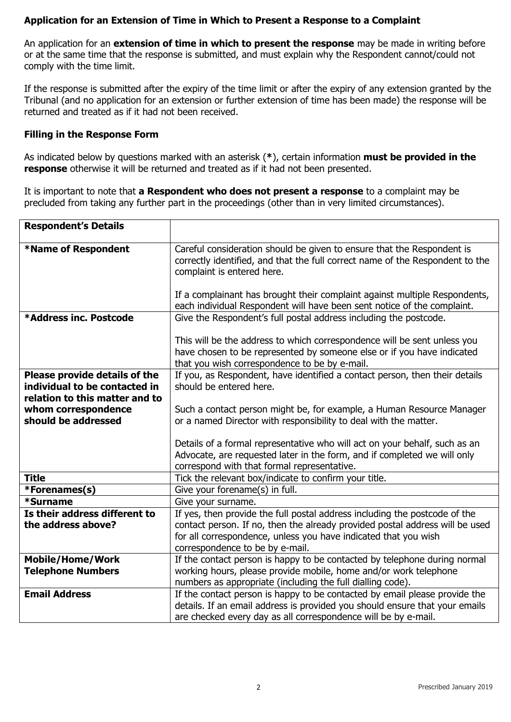## **Application for an Extension of Time in Which to Present a Response to a Complaint**

An application for an **extension of time in which to present the response** may be made in writing before or at the same time that the response is submitted, and must explain why the Respondent cannot/could not comply with the time limit.

If the response is submitted after the expiry of the time limit or after the expiry of any extension granted by the Tribunal (and no application for an extension or further extension of time has been made) the response will be returned and treated as if it had not been received.

#### **Filling in the Response Form**

As indicated below by questions marked with an asterisk (**\***), certain information **must be provided in the response** otherwise it will be returned and treated as if it had not been presented.

It is important to note that **a Respondent who does not present a response** to a complaint may be precluded from taking any further part in the proceedings (other than in very limited circumstances).

| <b>Respondent's Details</b>                                                                      |                                                                                                                                                                                                                                                                     |  |  |
|--------------------------------------------------------------------------------------------------|---------------------------------------------------------------------------------------------------------------------------------------------------------------------------------------------------------------------------------------------------------------------|--|--|
| *Name of Respondent                                                                              | Careful consideration should be given to ensure that the Respondent is<br>correctly identified, and that the full correct name of the Respondent to the<br>complaint is entered here.<br>If a complainant has brought their complaint against multiple Respondents, |  |  |
|                                                                                                  | each individual Respondent will have been sent notice of the complaint.                                                                                                                                                                                             |  |  |
| *Address inc. Postcode                                                                           | Give the Respondent's full postal address including the postcode.                                                                                                                                                                                                   |  |  |
|                                                                                                  | This will be the address to which correspondence will be sent unless you<br>have chosen to be represented by someone else or if you have indicated<br>that you wish correspondence to be by e-mail.                                                                 |  |  |
| Please provide details of the<br>individual to be contacted in<br>relation to this matter and to | If you, as Respondent, have identified a contact person, then their details<br>should be entered here.                                                                                                                                                              |  |  |
| whom correspondence                                                                              | Such a contact person might be, for example, a Human Resource Manager                                                                                                                                                                                               |  |  |
| should be addressed                                                                              | or a named Director with responsibility to deal with the matter.                                                                                                                                                                                                    |  |  |
|                                                                                                  | Details of a formal representative who will act on your behalf, such as an<br>Advocate, are requested later in the form, and if completed we will only<br>correspond with that formal representative.                                                               |  |  |
| <b>Title</b>                                                                                     | Tick the relevant box/indicate to confirm your title.                                                                                                                                                                                                               |  |  |
| *Forenames(s)                                                                                    | Give your forename(s) in full.                                                                                                                                                                                                                                      |  |  |
| *Surname                                                                                         | Give your surname.                                                                                                                                                                                                                                                  |  |  |
| Is their address different to<br>the address above?                                              | If yes, then provide the full postal address including the postcode of the<br>contact person. If no, then the already provided postal address will be used<br>for all correspondence, unless you have indicated that you wish<br>correspondence to be by e-mail.    |  |  |
| <b>Mobile/Home/Work</b>                                                                          | If the contact person is happy to be contacted by telephone during normal                                                                                                                                                                                           |  |  |
| <b>Telephone Numbers</b>                                                                         | working hours, please provide mobile, home and/or work telephone<br>numbers as appropriate (including the full dialling code).                                                                                                                                      |  |  |
| <b>Email Address</b>                                                                             | If the contact person is happy to be contacted by email please provide the<br>details. If an email address is provided you should ensure that your emails<br>are checked every day as all correspondence will be by e-mail.                                         |  |  |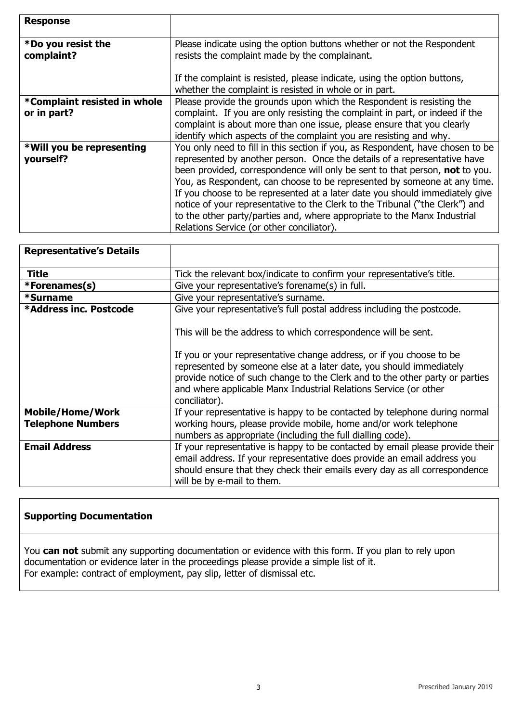| <b>Response</b>                             |                                                                                                                                                                                                                                                                                                                                                                                                                                                                                                                                                                                                               |
|---------------------------------------------|---------------------------------------------------------------------------------------------------------------------------------------------------------------------------------------------------------------------------------------------------------------------------------------------------------------------------------------------------------------------------------------------------------------------------------------------------------------------------------------------------------------------------------------------------------------------------------------------------------------|
| *Do you resist the<br>complaint?            | Please indicate using the option buttons whether or not the Respondent<br>resists the complaint made by the complainant.<br>If the complaint is resisted, please indicate, using the option buttons,                                                                                                                                                                                                                                                                                                                                                                                                          |
|                                             | whether the complaint is resisted in whole or in part.                                                                                                                                                                                                                                                                                                                                                                                                                                                                                                                                                        |
| *Complaint resisted in whole<br>or in part? | Please provide the grounds upon which the Respondent is resisting the<br>complaint. If you are only resisting the complaint in part, or indeed if the<br>complaint is about more than one issue, please ensure that you clearly<br>identify which aspects of the complaint you are resisting and why.                                                                                                                                                                                                                                                                                                         |
| *Will you be representing<br>yourself?      | You only need to fill in this section if you, as Respondent, have chosen to be<br>represented by another person. Once the details of a representative have<br>been provided, correspondence will only be sent to that person, not to you.<br>You, as Respondent, can choose to be represented by someone at any time.<br>If you choose to be represented at a later date you should immediately give<br>notice of your representative to the Clerk to the Tribunal ("the Clerk") and<br>to the other party/parties and, where appropriate to the Manx Industrial<br>Relations Service (or other conciliator). |

| <b>Representative's Details</b> |                                                                                                                                                                                                                                                                                                                  |  |
|---------------------------------|------------------------------------------------------------------------------------------------------------------------------------------------------------------------------------------------------------------------------------------------------------------------------------------------------------------|--|
| <b>Title</b>                    | Tick the relevant box/indicate to confirm your representative's title.                                                                                                                                                                                                                                           |  |
| *Forenames(s)                   | Give your representative's forename(s) in full.                                                                                                                                                                                                                                                                  |  |
| *Surname                        | Give your representative's surname.                                                                                                                                                                                                                                                                              |  |
| *Address inc. Postcode          | Give your representative's full postal address including the postcode.                                                                                                                                                                                                                                           |  |
|                                 | This will be the address to which correspondence will be sent.                                                                                                                                                                                                                                                   |  |
|                                 | If you or your representative change address, or if you choose to be<br>represented by someone else at a later date, you should immediately<br>provide notice of such change to the Clerk and to the other party or parties<br>and where applicable Manx Industrial Relations Service (or other<br>conciliator). |  |
| <b>Mobile/Home/Work</b>         | If your representative is happy to be contacted by telephone during normal                                                                                                                                                                                                                                       |  |
| <b>Telephone Numbers</b>        | working hours, please provide mobile, home and/or work telephone                                                                                                                                                                                                                                                 |  |
|                                 | numbers as appropriate (including the full dialling code).                                                                                                                                                                                                                                                       |  |
| <b>Email Address</b>            | If your representative is happy to be contacted by email please provide their<br>email address. If your representative does provide an email address you<br>should ensure that they check their emails every day as all correspondence<br>will be by e-mail to them.                                             |  |

# **Supporting Documentation**

You **can not** submit any supporting documentation or evidence with this form. If you plan to rely upon documentation or evidence later in the proceedings please provide a simple list of it. For example: contract of employment, pay slip, letter of dismissal etc.